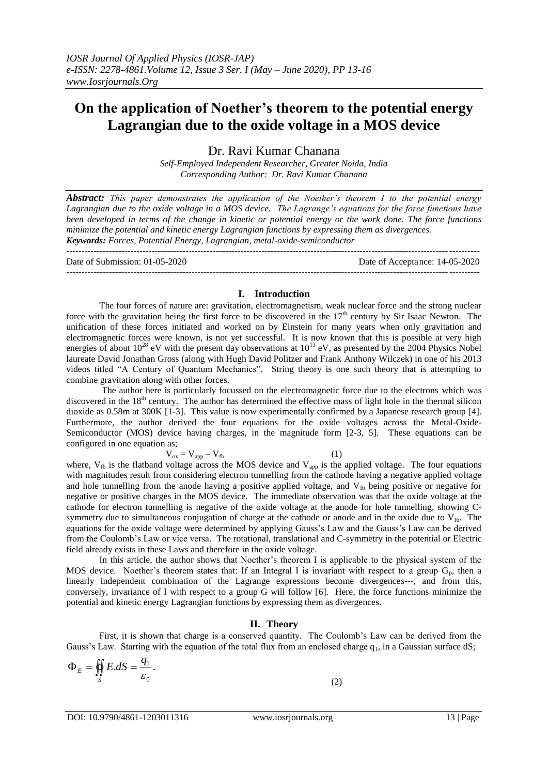# **On the application of Noether's theorem to the potential energy Lagrangian due to the oxide voltage in a MOS device**

Dr. Ravi Kumar Chanana

*Self-Employed Independent Researcher, Greater Noida, India Corresponding Author: Dr. Ravi Kumar Chanana*

*Abstract: This paper demonstrates the application of the Noether's theorem I to the potential energy Lagrangian due to the oxide voltage in a MOS device. The Lagrange's equations for the force functions have been developed in terms of the change in kinetic or potential energy or the work done. The force functions minimize the potential and kinetic energy Lagrangian functions by expressing them as divergences. Keywords: Forces, Potential Energy, Lagrangian, metal-oxide-semiconductor*

---------------------------------------------------------------------------------------------------------------------------------------

Date of Submission: 01-05-2020 Date of Acceptance: 14-05-2020 ---------------------------------------------------------------------------------------------------------------------------------------

## **I. Introduction**

The four forces of nature are: gravitation, electromagnetism, weak nuclear force and the strong nuclear force with the gravitation being the first force to be discovered in the  $17<sup>th</sup>$  century by Sir Isaac Newton. The unification of these forces initiated and worked on by Einstein for many years when only gravitation and electromagnetic forces were known, is not yet successful. It is now known that this is possible at very high energies of about  $10^{28}$  eV with the present day observations at  $10^{13}$  eV, as presented by the 2004 Physics Nobel laureate David Jonathan Gross (along with Hugh David Politzer and Frank Anthony Wilczek) in one of his 2013 videos titled "A Century of Quantum Mechanics". String theory is one such theory that is attempting to combine gravitation along with other forces.

The author here is particularly focussed on the electromagnetic force due to the electrons which was discovered in the  $18<sup>th</sup>$  century. The author has determined the effective mass of light hole in the thermal silicon dioxide as 0.58m at 300K [1-3]. This value is now experimentally confirmed by a Japanese research group [4]. Furthermore, the author derived the four equations for the oxide voltages across the Metal-Oxide-Semiconductor (MOS) device having charges, in the magnitude form [2-3, 5]. These equations can be configured in one equation as;

$$
V_{ox} = V_{app} - V_{fb}
$$
 (1)  
voltone across the MOS during end V, is the or

where,  $V_{fb}$  is the flatband voltage across the MOS device and  $V_{app}$  is the applied voltage. The four equations with magnitudes result from considering electron tunnelling from the cathode having a negative applied voltage and hole tunnelling from the anode having a positive applied voltage, and  $V_{fb}$  being positive or negative for negative or positive charges in the MOS device. The immediate observation was that the oxide voltage at the cathode for electron tunnelling is negative of the oxide voltage at the anode for hole tunnelling, showing Csymmetry due to simultaneous conjugation of charge at the cathode or anode and in the oxide due to  $V_{fb}$ . The equations for the oxide voltage were determined by applying Gauss's Law and the Gauss's Law can be derived from the Coulomb's Law or vice versa. The rotational, translational and C-symmetry in the potential or Electric field already exists in these Laws and therefore in the oxide voltage.

In this article, the author shows that Noether's theorem I is applicable to the physical system of the MOS device. Noether's theorem states that: If an Integral I is invariant with respect to a group  $G_p$ , then a linearly independent combination of the Lagrange expressions become divergences---, and from this, conversely, invariance of I with respect to a group G will follow [6]. Here, the force functions minimize the potential and kinetic energy Lagrangian functions by expressing them as divergences.

## **II. Theory**

First, it is shown that charge is a conserved quantity. The Coulomb's Law can be derived from the Gauss's Law. Starting with the equation of the total flux from an enclosed charge  $q_1$ , in a Gaussian surface dS;

$$
\Phi_E = \oiint_S E \, dS = \frac{q_1}{\varepsilon_0}.
$$

(2)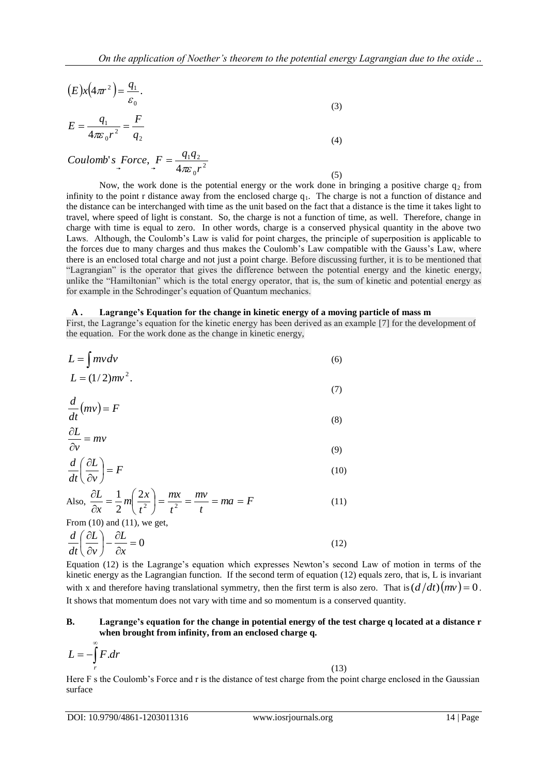(5)

$$
(E)x(4\pi r^2) = \frac{q_1}{\varepsilon_0}.
$$
\n(3)

$$
E = \frac{q_1}{4\pi\varepsilon_0 r^2} = \frac{F}{q_2}
$$
 (4)

$$
Coulomb's\ \csc{.} F = \frac{q_1 q_2}{4\pi \varepsilon_0 r^2}
$$

Now, the work done is the potential energy or the work done in bringing a positive charge  $q_2$  from infinity to the point r distance away from the enclosed charge  $q_1$ . The charge is not a function of distance and the distance can be interchanged with time as the unit based on the fact that a distance is the time it takes light to travel, where speed of light is constant. So, the charge is not a function of time, as well. Therefore, change in charge with time is equal to zero. In other words, charge is a conserved physical quantity in the above two Laws. Although, the Coulomb's Law is valid for point charges, the principle of superposition is applicable to the forces due to many charges and thus makes the Coulomb's Law compatible with the Gauss's Law, where there is an enclosed total charge and not just a point charge. Before discussing further, it is to be mentioned that "Lagrangian" is the operator that gives the difference between the potential energy and the kinetic energy, unlike the "Hamiltonian" which is the total energy operator, that is, the sum of kinetic and potential energy as for example in the Schrodinger's equation of Quantum mechanics.

#### **A . Lagrange's Equation for the change in kinetic energy of a moving particle of mass m**

First, the Lagrange's equation for the kinetic energy has been derived as an example [7] for the development of the equation. For the work done as the change in kinetic energy,

$$
L = \int mv dv
$$
  
\n
$$
L = (1/2)mv^2.
$$
\n(6)

$$
\frac{d}{dx}(mv) = F\tag{7}
$$

$$
\frac{\partial L}{\partial t} = mv \tag{8}
$$

$$
\frac{\partial v}{\partial t} \left( \frac{\partial L}{\partial v} \right) = F \tag{9}
$$

Also, 
$$
\frac{\partial L}{\partial x} = \frac{1}{2} m \left( \frac{2x}{t^2} \right) = \frac{mx}{t^2} = \frac{mv}{t} = ma = F
$$
 (11)

From  $(10)$  and  $(11)$ , we get,

$$
\frac{d}{dt}\left(\frac{\partial L}{\partial v}\right) - \frac{\partial L}{\partial x} = 0\tag{12}
$$

Equation (12) is the Lagrange's equation which expresses Newton's second Law of motion in terms of the kinetic energy as the Lagrangian function. If the second term of equation (12) equals zero, that is, L is invariant with x and therefore having translational symmetry, then the first term is also zero. That is  $(d/dt)(mv) = 0$ . It shows that momentum does not vary with time and so momentum is a conserved quantity.

## **B. Lagrange's equation for the change in potential energy of the test charge q located at a distance r when brought from infinity, from an enclosed charge q.**

$$
L = -\int\limits_{r}^{\infty} F \, dr
$$

$$
(13)
$$

Here F s the Coulomb's Force and r is the distance of test charge from the point charge enclosed in the Gaussian surface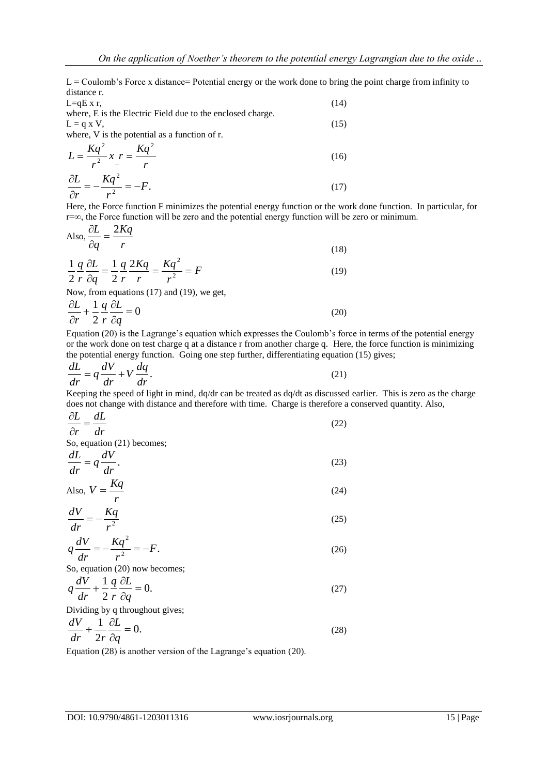$L =$  Coulomb's Force x distance= Potential energy or the work done to bring the point charge from infinity to distance r.

| $L=qE x r$ ,                                               | (14) |
|------------------------------------------------------------|------|
| where, E is the Electric Field due to the enclosed charge. |      |
| $L = q X V$ ,                                              | (15) |
| where, V is the potential as a function of r.              |      |
| $L = \frac{Kq^2}{r^2} x \cdot r = \frac{Kq^2}{r}$          | (16) |
| $\frac{\partial L}{\partial r} = -\frac{Kq^2}{r^2} = -F.$  | (17) |

Here, the Force function F minimizes the potential energy function or the work done function. In particular, for r=∞, the Force function will be zero and the potential energy function will be zero or minimum.

Also, 
$$
\frac{\partial L}{\partial q} = \frac{2Kq}{r}
$$
 (18)

$$
\frac{1}{2} \frac{q}{r} \frac{\partial L}{\partial q} = \frac{1}{2} \frac{q}{r} \frac{2Kq}{r} = \frac{Kq^2}{r^2} = F
$$
\n(19)

Now, from equations (17) and (19), we get,

$$
\frac{\partial L}{\partial r} + \frac{1}{2} \frac{q}{r} \frac{\partial L}{\partial q} = 0
$$
 (20)

Equation (20) is the Lagrange's equation which expresses the Coulomb's force in terms of the potential energy or the work done on test charge q at a distance r from another charge q. Here, the force function is minimizing the potential energy function. Going one step further, differentiating equation (15) gives;

$$
\frac{dL}{dr} = q\frac{dV}{dr} + V\frac{dq}{dr}.\tag{21}
$$

Keeping the speed of light in mind, dq/dr can be treated as dq/dt as discussed earlier. This is zero as the charge does not change with distance and therefore with time. Charge is therefore a conserved quantity. Also,

$$
\frac{\partial L}{\partial r} = \frac{dL}{dr} \tag{22}
$$

So, equation (21) becomes;

$$
\frac{dL}{dr} = q\frac{dV}{dr}.\tag{23}
$$

Also, 
$$
V = \frac{Kq}{r}
$$
 (24)

$$
\frac{dV}{dr} = -\frac{Kq}{r^2} \tag{25}
$$

$$
q\frac{dV}{dr} = -\frac{Kq^2}{r^2} = -F.\tag{26}
$$

So, equation (20) now becomes;

$$
q\frac{dV}{dr} + \frac{1}{2}\frac{q}{r}\frac{\partial L}{\partial q} = 0.
$$
 (27)

Dividing by a throughout gives:

$$
\frac{dV}{dr} + \frac{1}{2r}\frac{\partial L}{\partial q} = 0.
$$
\n(28)

Equation (28) is another version of the Lagrange's equation (20).